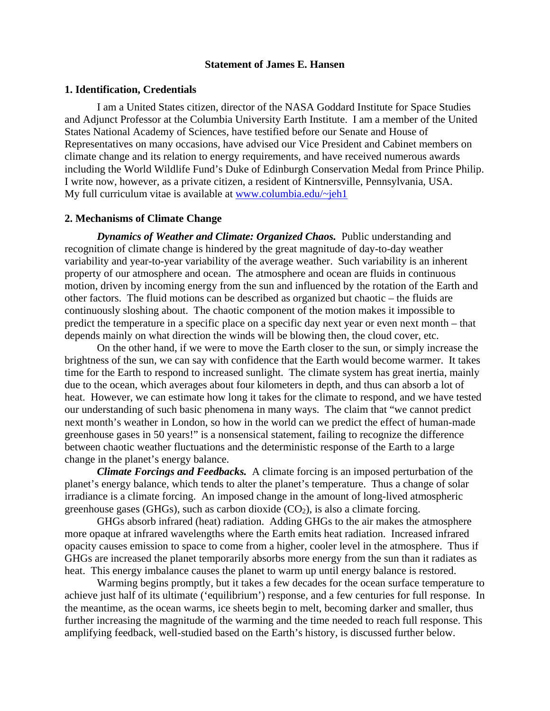## **Statement of James E. Hansen**

#### **1. Identification, Credentials**

 I am a United States citizen, director of the NASA Goddard Institute for Space Studies and Adjunct Professor at the Columbia University Earth Institute. I am a member of the United States National Academy of Sciences, have testified before our Senate and House of Representatives on many occasions, have advised our Vice President and Cabinet members on climate change and its relation to energy requirements, and have received numerous awards including the World Wildlife Fund's Duke of Edinburgh Conservation Medal from Prince Philip. I write now, however, as a private citizen, a resident of Kintnersville, Pennsylvania, USA. My full curriculum vitae is available at www.columbia.edu/ $\sim$ jeh1

#### **2. Mechanisms of Climate Change**

*Dynamics of Weather and Climate: Organized Chaos.* Public understanding and recognition of climate change is hindered by the great magnitude of day-to-day weather variability and year-to-year variability of the average weather. Such variability is an inherent property of our atmosphere and ocean. The atmosphere and ocean are fluids in continuous motion, driven by incoming energy from the sun and influenced by the rotation of the Earth and other factors. The fluid motions can be described as organized but chaotic – the fluids are continuously sloshing about. The chaotic component of the motion makes it impossible to predict the temperature in a specific place on a specific day next year or even next month – that depends mainly on what direction the winds will be blowing then, the cloud cover, etc.

 On the other hand, if we were to move the Earth closer to the sun, or simply increase the brightness of the sun, we can say with confidence that the Earth would become warmer. It takes time for the Earth to respond to increased sunlight. The climate system has great inertia, mainly due to the ocean, which averages about four kilometers in depth, and thus can absorb a lot of heat. However, we can estimate how long it takes for the climate to respond, and we have tested our understanding of such basic phenomena in many ways. The claim that "we cannot predict next month's weather in London, so how in the world can we predict the effect of human-made greenhouse gases in 50 years!" is a nonsensical statement, failing to recognize the difference between chaotic weather fluctuations and the deterministic response of the Earth to a large change in the planet's energy balance.

*Climate Forcings and Feedbacks.* A climate forcing is an imposed perturbation of the planet's energy balance, which tends to alter the planet's temperature. Thus a change of solar irradiance is a climate forcing. An imposed change in the amount of long-lived atmospheric greenhouse gases (GHGs), such as carbon dioxide  $(CO<sub>2</sub>)$ , is also a climate forcing.

GHGs absorb infrared (heat) radiation. Adding GHGs to the air makes the atmosphere more opaque at infrared wavelengths where the Earth emits heat radiation. Increased infrared opacity causes emission to space to come from a higher, cooler level in the atmosphere. Thus if GHGs are increased the planet temporarily absorbs more energy from the sun than it radiates as heat. This energy imbalance causes the planet to warm up until energy balance is restored.

Warming begins promptly, but it takes a few decades for the ocean surface temperature to achieve just half of its ultimate ('equilibrium') response, and a few centuries for full response. In the meantime, as the ocean warms, ice sheets begin to melt, becoming darker and smaller, thus further increasing the magnitude of the warming and the time needed to reach full response. This amplifying feedback, well-studied based on the Earth's history, is discussed further below.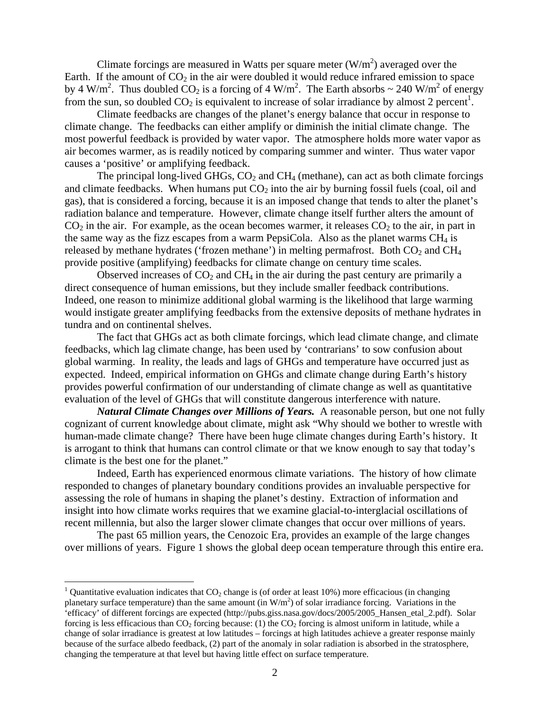Climate forcings are measured in Watts per square meter  $(W/m<sup>2</sup>)$  averaged over the Earth. If the amount of  $CO<sub>2</sub>$  in the air were doubled it would reduce infrared emission to space by 4 W/m<sup>2</sup>. Thus doubled CO<sub>2</sub> is a forcing of 4 W/m<sup>2</sup>. The Earth absorbs ~ 240 W/m<sup>2</sup> of energy from the sun, so doubled  $CO_2$  is equivalent to increase of solar irradiance by almost 2 percent<sup>1</sup>.

Climate feedbacks are changes of the planet's energy balance that occur in response to climate change. The feedbacks can either amplify or diminish the initial climate change. The most powerful feedback is provided by water vapor. The atmosphere holds more water vapor as air becomes warmer, as is readily noticed by comparing summer and winter. Thus water vapor causes a 'positive' or amplifying feedback.

The principal long-lived GHGs,  $CO<sub>2</sub>$  and  $CH<sub>4</sub>$  (methane), can act as both climate forcings and climate feedbacks. When humans put  $CO<sub>2</sub>$  into the air by burning fossil fuels (coal, oil and gas), that is considered a forcing, because it is an imposed change that tends to alter the planet's radiation balance and temperature. However, climate change itself further alters the amount of  $CO<sub>2</sub>$  in the air. For example, as the ocean becomes warmer, it releases  $CO<sub>2</sub>$  to the air, in part in the same way as the fizz escapes from a warm PepsiCola. Also as the planet warms  $CH_4$  is released by methane hydrates ('frozen methane') in melting permafrost. Both  $CO<sub>2</sub>$  and  $CH<sub>4</sub>$ provide positive (amplifying) feedbacks for climate change on century time scales.

Observed increases of  $CO<sub>2</sub>$  and  $CH<sub>4</sub>$  in the air during the past century are primarily a direct consequence of human emissions, but they include smaller feedback contributions. Indeed, one reason to minimize additional global warming is the likelihood that large warming would instigate greater amplifying feedbacks from the extensive deposits of methane hydrates in tundra and on continental shelves.

The fact that GHGs act as both climate forcings, which lead climate change, and climate feedbacks, which lag climate change, has been used by 'contrarians' to sow confusion about global warming. In reality, the leads and lags of GHGs and temperature have occurred just as expected. Indeed, empirical information on GHGs and climate change during Earth's history provides powerful confirmation of our understanding of climate change as well as quantitative evaluation of the level of GHGs that will constitute dangerous interference with nature.

*Natural Climate Changes over Millions of Years.* A reasonable person, but one not fully cognizant of current knowledge about climate, might ask "Why should we bother to wrestle with human-made climate change? There have been huge climate changes during Earth's history. It is arrogant to think that humans can control climate or that we know enough to say that today's climate is the best one for the planet."

 Indeed, Earth has experienced enormous climate variations. The history of how climate responded to changes of planetary boundary conditions provides an invaluable perspective for assessing the role of humans in shaping the planet's destiny. Extraction of information and insight into how climate works requires that we examine glacial-to-interglacial oscillations of recent millennia, but also the larger slower climate changes that occur over millions of years.

 The past 65 million years, the Cenozoic Era, provides an example of the large changes over millions of years. Figure 1 shows the global deep ocean temperature through this entire era.

<sup>&</sup>lt;sup>1</sup> Quantitative evaluation indicates that  $CO_2$  change is (of order at least 10%) more efficacious (in changing planetary surface temperature) than the same amount (in  $W/m<sup>2</sup>$ ) of solar irradiance forcing. Variations in the 'efficacy' of different forcings are expected (http://pubs.giss.nasa.gov/docs/2005/2005\_Hansen\_etal\_2.pdf). Solar forcing is less efficacious than  $CO<sub>2</sub>$  forcing because: (1) the  $CO<sub>2</sub>$  forcing is almost uniform in latitude, while a change of solar irradiance is greatest at low latitudes – forcings at high latitudes achieve a greater response mainly because of the surface albedo feedback, (2) part of the anomaly in solar radiation is absorbed in the stratosphere, changing the temperature at that level but having little effect on surface temperature.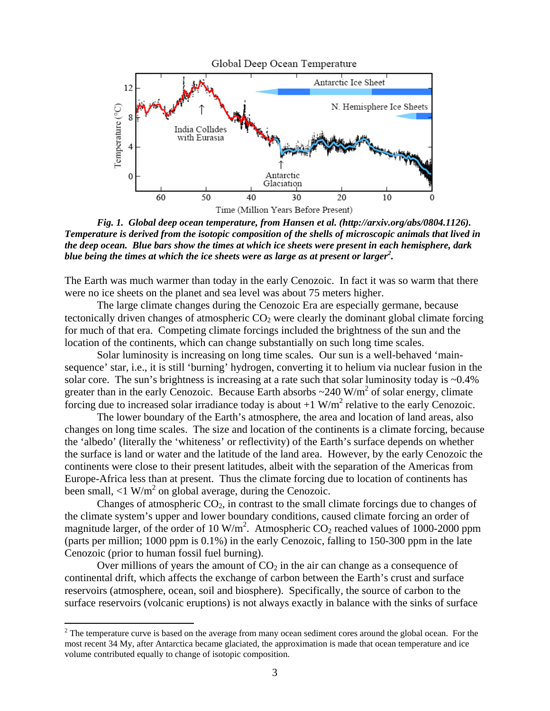

*Fig. 1. Global deep ocean temperature, from Hansen et al. (http://arxiv.org/abs/0804.1126). Temperature is derived from the isotopic composition of the shells of microscopic animals that lived in the deep ocean. Blue bars show the times at which ice sheets were present in each hemisphere, dark blue being the times at which the ice sheets were as large as at present or larger<sup>2</sup> .* 

The Earth was much warmer than today in the early Cenozoic. In fact it was so warm that there were no ice sheets on the planet and sea level was about 75 meters higher.

 The large climate changes during the Cenozoic Era are especially germane, because tectonically driven changes of atmospheric  $CO<sub>2</sub>$  were clearly the dominant global climate forcing for much of that era. Competing climate forcings included the brightness of the sun and the location of the continents, which can change substantially on such long time scales.

 Solar luminosity is increasing on long time scales. Our sun is a well-behaved 'mainsequence' star, i.e., it is still 'burning' hydrogen, converting it to helium via nuclear fusion in the solar core. The sun's brightness is increasing at a rate such that solar luminosity today is ~0.4% greater than in the early Cenozoic. Because Earth absorbs  $\sim$ 240 W/m<sup>2</sup> of solar energy, climate forcing due to increased solar irradiance today is about  $+1$  W/m<sup>2</sup> relative to the early Cenozoic.

 The lower boundary of the Earth's atmosphere, the area and location of land areas, also changes on long time scales. The size and location of the continents is a climate forcing, because the 'albedo' (literally the 'whiteness' or reflectivity) of the Earth's surface depends on whether the surface is land or water and the latitude of the land area. However, by the early Cenozoic the continents were close to their present latitudes, albeit with the separation of the Americas from Europe-Africa less than at present. Thus the climate forcing due to location of continents has been small,  $\langle 1 \text{ W/m}^2 \rangle$  on global average, during the Cenozoic.

Changes of atmospheric  $CO<sub>2</sub>$ , in contrast to the small climate forcings due to changes of the climate system's upper and lower boundary conditions, caused climate forcing an order of magnitude larger, of the order of 10 W/m<sup>2</sup>. Atmospheric  $CO_2$  reached values of 1000-2000 ppm (parts per million; 1000 ppm is 0.1%) in the early Cenozoic, falling to 150-300 ppm in the late Cenozoic (prior to human fossil fuel burning).

Over millions of years the amount of  $CO<sub>2</sub>$  in the air can change as a consequence of continental drift, which affects the exchange of carbon between the Earth's crust and surface reservoirs (atmosphere, ocean, soil and biosphere). Specifically, the source of carbon to the surface reservoirs (volcanic eruptions) is not always exactly in balance with the sinks of surface

<sup>&</sup>lt;sup>2</sup> The temperature curve is based on the average from many ocean sediment cores around the global ocean. For the most recent 34 My, after Antarctica became glaciated, the approximation is made that ocean temperature and ice volume contributed equally to change of isotopic composition.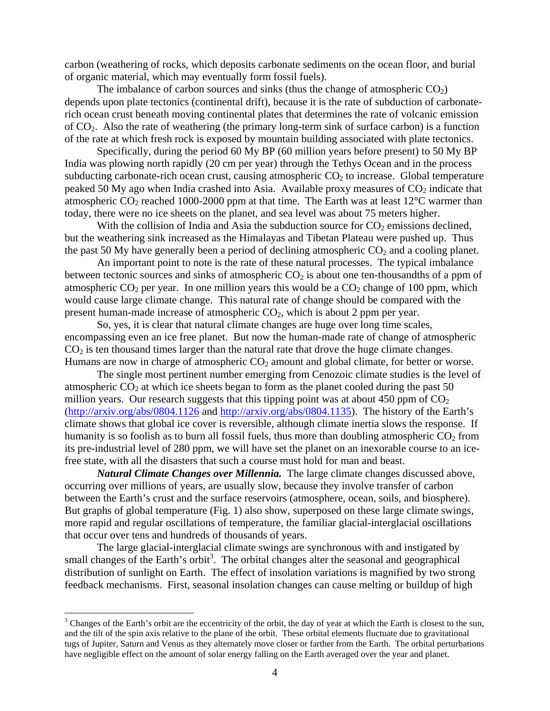carbon (weathering of rocks, which deposits carbonate sediments on the ocean floor, and burial of organic material, which may eventually form fossil fuels).

The imbalance of carbon sources and sinks (thus the change of atmospheric  $CO<sub>2</sub>$ ) depends upon plate tectonics (continental drift), because it is the rate of subduction of carbonaterich ocean crust beneath moving continental plates that determines the rate of volcanic emission of CO2. Also the rate of weathering (the primary long-term sink of surface carbon) is a function of the rate at which fresh rock is exposed by mountain building associated with plate tectonics.

Specifically, during the period 60 My BP (60 million years before present) to 50 My BP India was plowing north rapidly (20 cm per year) through the Tethys Ocean and in the process subducting carbonate-rich ocean crust, causing atmospheric  $CO<sub>2</sub>$  to increase. Global temperature peaked 50 My ago when India crashed into Asia. Available proxy measures of  $CO<sub>2</sub>$  indicate that atmospheric  $CO_2$  reached 1000-2000 ppm at that time. The Earth was at least 12 $\degree$ C warmer than today, there were no ice sheets on the planet, and sea level was about 75 meters higher.

With the collision of India and Asia the subduction source for  $CO<sub>2</sub>$  emissions declined, but the weathering sink increased as the Himalayas and Tibetan Plateau were pushed up. Thus the past 50 My have generally been a period of declining atmospheric  $CO<sub>2</sub>$  and a cooling planet.

 An important point to note is the rate of these natural processes. The typical imbalance between tectonic sources and sinks of atmospheric  $CO<sub>2</sub>$  is about one ten-thousandths of a ppm of atmospheric  $CO<sub>2</sub>$  per year. In one million years this would be a  $CO<sub>2</sub>$  change of 100 ppm, which would cause large climate change. This natural rate of change should be compared with the present human-made increase of atmospheric  $CO<sub>2</sub>$ , which is about 2 ppm per year.

 So, yes, it is clear that natural climate changes are huge over long time scales, encompassing even an ice free planet. But now the human-made rate of change of atmospheric  $CO<sub>2</sub>$  is ten thousand times larger than the natural rate that drove the huge climate changes. Humans are now in charge of atmospheric  $CO<sub>2</sub>$  amount and global climate, for better or worse.

 The single most pertinent number emerging from Cenozoic climate studies is the level of atmospheric  $CO<sub>2</sub>$  at which ice sheets began to form as the planet cooled during the past 50 million years. Our research suggests that this tipping point was at about 450 ppm of  $CO<sub>2</sub>$ (http://arxiv.org/abs/0804.1126 and http://arxiv.org/abs/0804.1135). The history of the Earth's climate shows that global ice cover is reversible, although climate inertia slows the response. If humanity is so foolish as to burn all fossil fuels, thus more than doubling atmospheric  $CO<sub>2</sub>$  from its pre-industrial level of 280 ppm, we will have set the planet on an inexorable course to an icefree state, with all the disasters that such a course must hold for man and beast.

*Natural Climate Changes over Millennia.* The large climate changes discussed above, occurring over millions of years, are usually slow, because they involve transfer of carbon between the Earth's crust and the surface reservoirs (atmosphere, ocean, soils, and biosphere). But graphs of global temperature (Fig. 1) also show, superposed on these large climate swings, more rapid and regular oscillations of temperature, the familiar glacial-interglacial oscillations that occur over tens and hundreds of thousands of years.

 The large glacial-interglacial climate swings are synchronous with and instigated by small changes of the Earth's orbit<sup>3</sup>. The orbital changes alter the seasonal and geographical distribution of sunlight on Earth. The effect of insolation variations is magnified by two strong feedback mechanisms. First, seasonal insolation changes can cause melting or buildup of high

1

 $3$  Changes of the Earth's orbit are the eccentricity of the orbit, the day of year at which the Earth is closest to the sun, and the tilt of the spin axis relative to the plane of the orbit. These orbital elements fluctuate due to gravitational tugs of Jupiter, Saturn and Venus as they alternately move closer or farther from the Earth. The orbital perturbations have negligible effect on the amount of solar energy falling on the Earth averaged over the year and planet.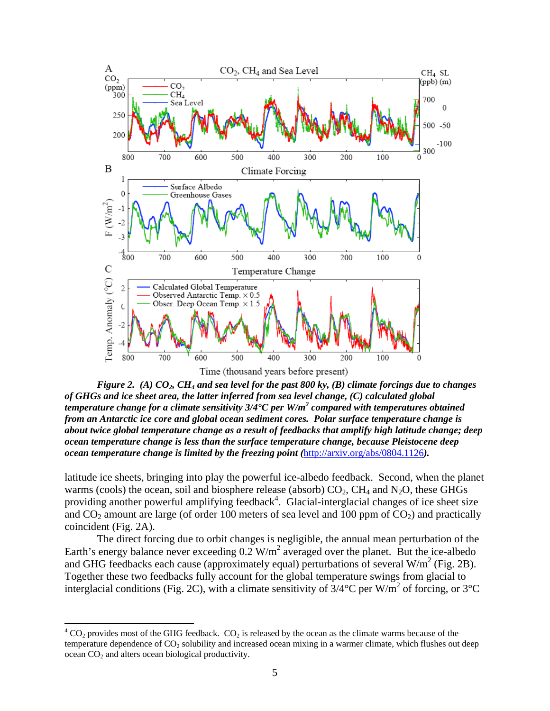

*Figure 2. (A) CO<sub>2</sub>, CH<sub>4</sub> and sea level for the past 800 ky, (B) climate forcings due to changes of GHGs and ice sheet area, the latter inferred from sea level change, (C) calculated global temperature change for a climate sensitivity 3/4°C per W/m<sup>2</sup> compared with temperatures obtained from an Antarctic ice core and global ocean sediment cores. Polar surface temperature change is about twice global temperature change as a result of feedbacks that amplify high latitude change; deep ocean temperature change is less than the surface temperature change, because Pleistocene deep ocean temperature change is limited by the freezing point (*http://arxiv.org/abs/0804.1126*).* 

latitude ice sheets, bringing into play the powerful ice-albedo feedback. Second, when the planet warms (cools) the ocean, soil and biosphere release (absorb)  $CO<sub>2</sub>$ ,  $CH<sub>4</sub>$  and N<sub>2</sub>O, these GHGs providing another powerful amplifying feedback<sup>4</sup>. Glacial-interglacial changes of ice sheet size and  $CO<sub>2</sub>$  amount are large (of order 100 meters of sea level and 100 ppm of  $CO<sub>2</sub>$ ) and practically coincident (Fig. 2A).

 The direct forcing due to orbit changes is negligible, the annual mean perturbation of the Earth's energy balance never exceeding  $0.2$  W/m<sup>2</sup> averaged over the planet. But the ice-albedo and GHG feedbacks each cause (approximately equal) perturbations of several  $W/m^2$  (Fig. 2B). Together these two feedbacks fully account for the global temperature swings from glacial to interglacial conditions (Fig. 2C), with a climate sensitivity of  $3/4^{\circ}$ C per W/m<sup>2</sup> of forcing, or  $3^{\circ}$ C

 $^{4}$  CO<sub>2</sub> provides most of the GHG feedback. CO<sub>2</sub> is released by the ocean as the climate warms because of the temperature dependence of  $CO<sub>2</sub>$  solubility and increased ocean mixing in a warmer climate, which flushes out deep  $\alpha$  cean CO<sub>2</sub> and alters ocean biological productivity.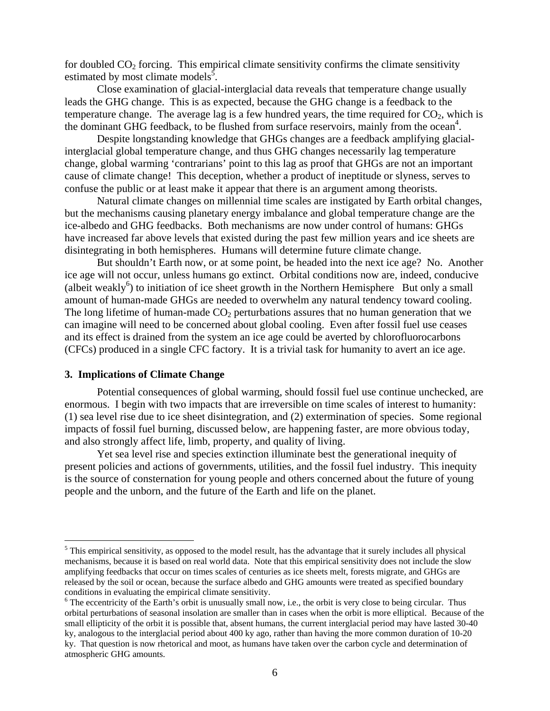for doubled  $CO<sub>2</sub>$  forcing. This empirical climate sensitivity confirms the climate sensitivity estimated by most climate models<sup>5</sup>.

 Close examination of glacial-interglacial data reveals that temperature change usually leads the GHG change. This is as expected, because the GHG change is a feedback to the temperature change. The average lag is a few hundred years, the time required for  $CO<sub>2</sub>$ , which is the dominant GHG feedback, to be flushed from surface reservoirs, mainly from the ocean<sup>4</sup>.

 Despite longstanding knowledge that GHGs changes are a feedback amplifying glacialinterglacial global temperature change, and thus GHG changes necessarily lag temperature change, global warming 'contrarians' point to this lag as proof that GHGs are not an important cause of climate change! This deception, whether a product of ineptitude or slyness, serves to confuse the public or at least make it appear that there is an argument among theorists.

 Natural climate changes on millennial time scales are instigated by Earth orbital changes, but the mechanisms causing planetary energy imbalance and global temperature change are the ice-albedo and GHG feedbacks. Both mechanisms are now under control of humans: GHGs have increased far above levels that existed during the past few million years and ice sheets are disintegrating in both hemispheres. Humans will determine future climate change.

But shouldn't Earth now, or at some point, be headed into the next ice age? No. Another ice age will not occur, unless humans go extinct. Orbital conditions now are, indeed, conducive (albeit weakly<sup>6</sup>) to initiation of ice sheet growth in the Northern Hemisphere But only a small amount of human-made GHGs are needed to overwhelm any natural tendency toward cooling. The long lifetime of human-made  $CO<sub>2</sub>$  perturbations assures that no human generation that we can imagine will need to be concerned about global cooling. Even after fossil fuel use ceases and its effect is drained from the system an ice age could be averted by chlorofluorocarbons (CFCs) produced in a single CFC factory. It is a trivial task for humanity to avert an ice age.

#### **3. Implications of Climate Change**

<u>.</u>

 Potential consequences of global warming, should fossil fuel use continue unchecked, are enormous. I begin with two impacts that are irreversible on time scales of interest to humanity: (1) sea level rise due to ice sheet disintegration, and (2) extermination of species. Some regional impacts of fossil fuel burning, discussed below, are happening faster, are more obvious today, and also strongly affect life, limb, property, and quality of living.

Yet sea level rise and species extinction illuminate best the generational inequity of present policies and actions of governments, utilities, and the fossil fuel industry. This inequity is the source of consternation for young people and others concerned about the future of young people and the unborn, and the future of the Earth and life on the planet.

 $<sup>5</sup>$  This empirical sensitivity, as opposed to the model result, has the advantage that it surely includes all physical</sup> mechanisms, because it is based on real world data. Note that this empirical sensitivity does not include the slow amplifying feedbacks that occur on times scales of centuries as ice sheets melt, forests migrate, and GHGs are released by the soil or ocean, because the surface albedo and GHG amounts were treated as specified boundary conditions in evaluating the empirical climate sensitivity.

<sup>&</sup>lt;sup>6</sup> The eccentricity of the Earth's orbit is unusually small now, i.e., the orbit is very close to being circular. Thus orbital perturbations of seasonal insolation are smaller than in cases when the orbit is more elliptical. Because of the small ellipticity of the orbit it is possible that, absent humans, the current interglacial period may have lasted 30-40 ky, analogous to the interglacial period about 400 ky ago, rather than having the more common duration of 10-20 ky. That question is now rhetorical and moot, as humans have taken over the carbon cycle and determination of atmospheric GHG amounts.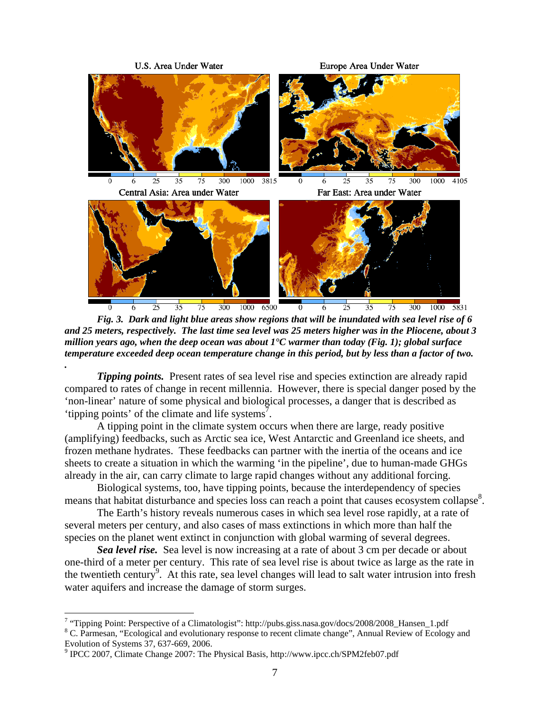

*Fig. 3. Dark and light blue areas show regions that will be inundated with sea level rise of 6 and 25 meters, respectively. The last time sea level was 25 meters higher was in the Pliocene, about 3 million years ago, when the deep ocean was about 1°C warmer than today (Fig. 1); global surface temperature exceeded deep ocean temperature change in this period, but by less than a factor of two. .* 

*Tipping points.* Present rates of sea level rise and species extinction are already rapid compared to rates of change in recent millennia. However, there is special danger posed by the 'non-linear' nature of some physical and biological processes, a danger that is described as 'tipping points' of the climate and life systems<sup>7</sup>.

A tipping point in the climate system occurs when there are large, ready positive (amplifying) feedbacks, such as Arctic sea ice, West Antarctic and Greenland ice sheets, and frozen methane hydrates. These feedbacks can partner with the inertia of the oceans and ice sheets to create a situation in which the warming 'in the pipeline', due to human-made GHGs already in the air, can carry climate to large rapid changes without any additional forcing.

Biological systems, too, have tipping points, because the interdependency of species means that habitat disturbance and species loss can reach a point that causes ecosystem collapse<sup>8</sup>.

The Earth's history reveals numerous cases in which sea level rose rapidly, at a rate of several meters per century, and also cases of mass extinctions in which more than half the species on the planet went extinct in conjunction with global warming of several degrees.

*Sea level rise.* Sea level is now increasing at a rate of about 3 cm per decade or about one-third of a meter per century. This rate of sea level rise is about twice as large as the rate in the twentieth century<sup>9</sup>. At this rate, sea level changes will lead to salt water intrusion into fresh water aquifers and increase the damage of storm surges.

<sup>&</sup>lt;sup>7</sup> "Tipping Point: Perspective of a Climatologist": http://pubs.giss.nasa.gov/docs/2008/2008\_Hansen\_1.pdf  ${}^{8}$  C Permasan. "Feelectional and avalutionary respects to regart elimete abangs". Annual Bayjaw of Feelect

<sup>&</sup>lt;sup>8</sup> C. Parmesan, "Ecological and evolutionary response to recent climate change", Annual Review of Ecology and Evolution of Systems 37, 637-669, 2006.

<sup>&</sup>lt;sup>9</sup> IPCC 2007, Climate Change 2007: The Physical Basis, http://www.ipcc.ch/SPM2feb07.pdf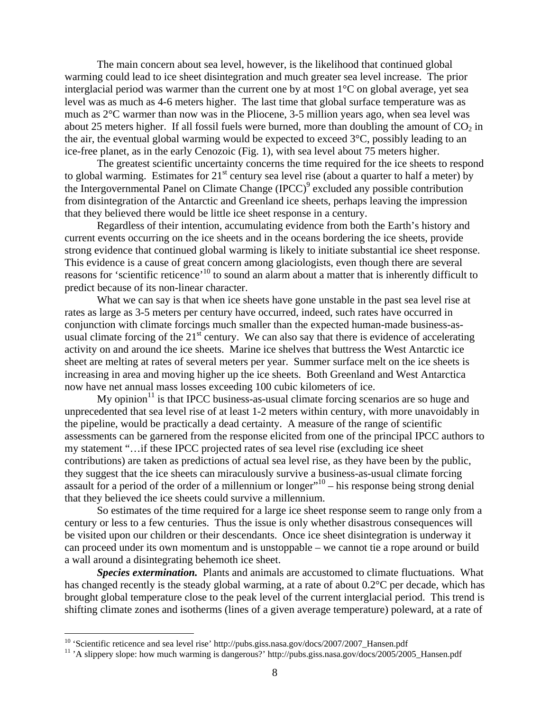The main concern about sea level, however, is the likelihood that continued global warming could lead to ice sheet disintegration and much greater sea level increase. The prior interglacial period was warmer than the current one by at most 1°C on global average, yet sea level was as much as 4-6 meters higher. The last time that global surface temperature was as much as 2°C warmer than now was in the Pliocene, 3-5 million years ago, when sea level was about 25 meters higher. If all fossil fuels were burned, more than doubling the amount of  $CO<sub>2</sub>$  in the air, the eventual global warming would be expected to exceed  $3^{\circ}C$ , possibly leading to an ice-free planet, as in the early Cenozoic (Fig. 1), with sea level about 75 meters higher.

The greatest scientific uncertainty concerns the time required for the ice sheets to respond to global warming. Estimates for  $21<sup>st</sup>$  century sea level rise (about a quarter to half a meter) by the Intergovernmental Panel on Climate Change (IPCC)<sup>9</sup> excluded any possible contribution from disintegration of the Antarctic and Greenland ice sheets, perhaps leaving the impression that they believed there would be little ice sheet response in a century.

Regardless of their intention, accumulating evidence from both the Earth's history and current events occurring on the ice sheets and in the oceans bordering the ice sheets, provide strong evidence that continued global warming is likely to initiate substantial ice sheet response. This evidence is a cause of great concern among glaciologists, even though there are several reasons for 'scientific reticence'<sup>10</sup> to sound an alarm about a matter that is inherently difficult to predict because of its non-linear character.

What we can say is that when ice sheets have gone unstable in the past sea level rise at rates as large as 3-5 meters per century have occurred, indeed, such rates have occurred in conjunction with climate forcings much smaller than the expected human-made business-asusual climate forcing of the  $21<sup>st</sup>$  century. We can also say that there is evidence of accelerating activity on and around the ice sheets. Marine ice shelves that buttress the West Antarctic ice sheet are melting at rates of several meters per year. Summer surface melt on the ice sheets is increasing in area and moving higher up the ice sheets. Both Greenland and West Antarctica now have net annual mass losses exceeding 100 cubic kilometers of ice.

My opinion $11$  is that IPCC business-as-usual climate forcing scenarios are so huge and unprecedented that sea level rise of at least 1-2 meters within century, with more unavoidably in the pipeline, would be practically a dead certainty. A measure of the range of scientific assessments can be garnered from the response elicited from one of the principal IPCC authors to my statement "…if these IPCC projected rates of sea level rise (excluding ice sheet contributions) are taken as predictions of actual sea level rise, as they have been by the public, they suggest that the ice sheets can miraculously survive a business-as-usual climate forcing assault for a period of the order of a millennium or longer"<sup>10</sup> – his response being strong denial that they believed the ice sheets could survive a millennium.

So estimates of the time required for a large ice sheet response seem to range only from a century or less to a few centuries. Thus the issue is only whether disastrous consequences will be visited upon our children or their descendants. Once ice sheet disintegration is underway it can proceed under its own momentum and is unstoppable – we cannot tie a rope around or build a wall around a disintegrating behemoth ice sheet.

*Species extermination.* Plants and animals are accustomed to climate fluctuations. What has changed recently is the steady global warming, at a rate of about 0.2°C per decade, which has brought global temperature close to the peak level of the current interglacial period. This trend is shifting climate zones and isotherms (lines of a given average temperature) poleward, at a rate of

<sup>&</sup>lt;sup>10</sup> 'Scientific reticence and sea level rise' http://pubs.giss.nasa.gov/docs/2007/2007\_Hansen.pdf <sup>11</sup> 'A slippery slope: how much warming is dangerous?' http://pubs.giss.nasa.gov/docs/2005/2005\_Hansen.pdf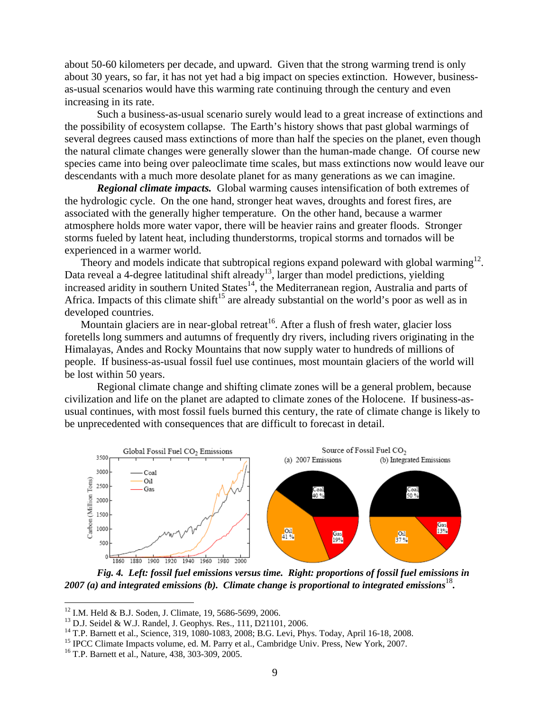about 50-60 kilometers per decade, and upward. Given that the strong warming trend is only about 30 years, so far, it has not yet had a big impact on species extinction. However, businessas-usual scenarios would have this warming rate continuing through the century and even increasing in its rate.

 Such a business-as-usual scenario surely would lead to a great increase of extinctions and the possibility of ecosystem collapse. The Earth's history shows that past global warmings of several degrees caused mass extinctions of more than half the species on the planet, even though the natural climate changes were generally slower than the human-made change. Of course new species came into being over paleoclimate time scales, but mass extinctions now would leave our descendants with a much more desolate planet for as many generations as we can imagine.

*Regional climate impacts.* Global warming causes intensification of both extremes of the hydrologic cycle. On the one hand, stronger heat waves, droughts and forest fires, are associated with the generally higher temperature. On the other hand, because a warmer atmosphere holds more water vapor, there will be heavier rains and greater floods. Stronger storms fueled by latent heat, including thunderstorms, tropical storms and tornados will be experienced in a warmer world.

Theory and models indicate that subtropical regions expand poleward with global warming<sup>12</sup>. Data reveal a 4-degree latitudinal shift already<sup>13</sup>, larger than model predictions, yielding increased aridity in southern United States $14$ , the Mediterranean region, Australia and parts of Africa. Impacts of this climate shift<sup>15</sup> are already substantial on the world's poor as well as in developed countries.

Mountain glaciers are in near-global retreat<sup>16</sup>. After a flush of fresh water, glacier loss foretells long summers and autumns of frequently dry rivers, including rivers originating in the Himalayas, Andes and Rocky Mountains that now supply water to hundreds of millions of people. If business-as-usual fossil fuel use continues, most mountain glaciers of the world will be lost within 50 years.

 Regional climate change and shifting climate zones will be a general problem, because civilization and life on the planet are adapted to climate zones of the Holocene. If business-asusual continues, with most fossil fuels burned this century, the rate of climate change is likely to be unprecedented with consequences that are difficult to forecast in detail.



*Fig. 4. Left: fossil fuel emissions versus time. Right: proportions of fossil fuel emissions in 2007 (a) and integrated emissions (b). Climate change is proportional to integrated emissions*<sup>18</sup>.

<sup>&</sup>lt;sup>12</sup> I.M. Held & B.J. Soden, J. Climate, 19, 5686-5699, 2006.

<sup>13</sup> D.J. Seidel & W.J. Randel, J. Geophys. Res., 111, D21101, 2006.

<sup>14</sup> T.P. Barnett et al., Science, 319, 1080-1083, 2008; B.G. Levi, Phys. Today, April 16-18, 2008.

<sup>&</sup>lt;sup>15</sup> IPCC Climate Impacts volume, ed. M. Parry et al., Cambridge Univ. Press, New York, 2007. <sup>16</sup> T.P. Barnett et al., Nature, 438, 303-309, 2005.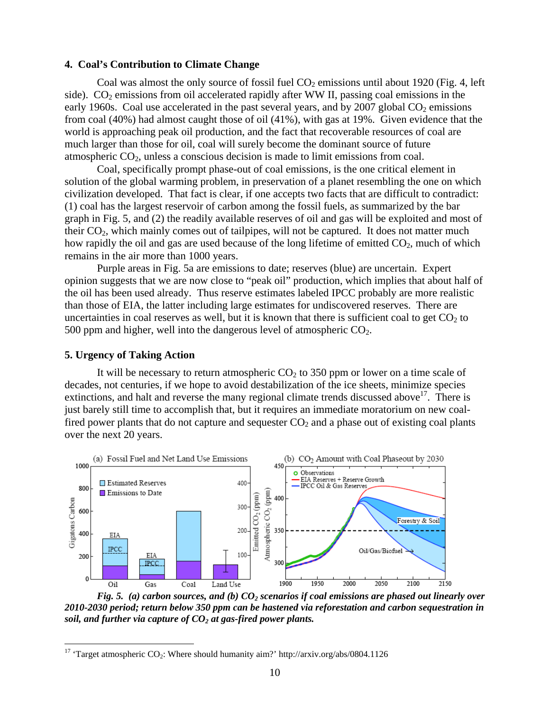#### **4. Coal's Contribution to Climate Change**

Coal was almost the only source of fossil fuel  $CO<sub>2</sub>$  emissions until about 1920 (Fig. 4, left side).  $CO<sub>2</sub>$  emissions from oil accelerated rapidly after WW II, passing coal emissions in the early 1960s. Coal use accelerated in the past several years, and by 2007 global  $CO<sub>2</sub>$  emissions from coal (40%) had almost caught those of oil (41%), with gas at 19%. Given evidence that the world is approaching peak oil production, and the fact that recoverable resources of coal are much larger than those for oil, coal will surely become the dominant source of future atmospheric  $CO<sub>2</sub>$ , unless a conscious decision is made to limit emissions from coal.

 Coal, specifically prompt phase-out of coal emissions, is the one critical element in solution of the global warming problem, in preservation of a planet resembling the one on which civilization developed. That fact is clear, if one accepts two facts that are difficult to contradict: (1) coal has the largest reservoir of carbon among the fossil fuels, as summarized by the bar graph in Fig. 5, and (2) the readily available reserves of oil and gas will be exploited and most of their  $CO<sub>2</sub>$ , which mainly comes out of tailpipes, will not be captured. It does not matter much how rapidly the oil and gas are used because of the long lifetime of emitted  $CO<sub>2</sub>$ , much of which remains in the air more than 1000 years.

Purple areas in Fig. 5a are emissions to date; reserves (blue) are uncertain. Expert opinion suggests that we are now close to "peak oil" production, which implies that about half of the oil has been used already. Thus reserve estimates labeled IPCC probably are more realistic than those of EIA, the latter including large estimates for undiscovered reserves. There are uncertainties in coal reserves as well, but it is known that there is sufficient coal to get  $CO<sub>2</sub>$  to 500 ppm and higher, well into the dangerous level of atmospheric  $CO<sub>2</sub>$ .

#### **5. Urgency of Taking Action**

 $\overline{a}$ 

It will be necessary to return atmospheric  $CO<sub>2</sub>$  to 350 ppm or lower on a time scale of decades, not centuries, if we hope to avoid destabilization of the ice sheets, minimize species extinctions, and halt and reverse the many regional climate trends discussed above<sup>17</sup>. There is just barely still time to accomplish that, but it requires an immediate moratorium on new coalfired power plants that do not capture and sequester  $CO<sub>2</sub>$  and a phase out of existing coal plants over the next 20 years.



*Fig. 5. (a) carbon sources, and (b) CO<sub>2</sub> scenarios if coal emissions are phased out linearly over 2010-2030 period; return below 350 ppm can be hastened via reforestation and carbon sequestration in soil, and further via capture of*  $CO<sub>2</sub>$  *at gas-fired power plants.* 

<sup>&</sup>lt;sup>17</sup> 'Target atmospheric CO<sub>2</sub>: Where should humanity aim?' http://arxiv.org/abs/0804.1126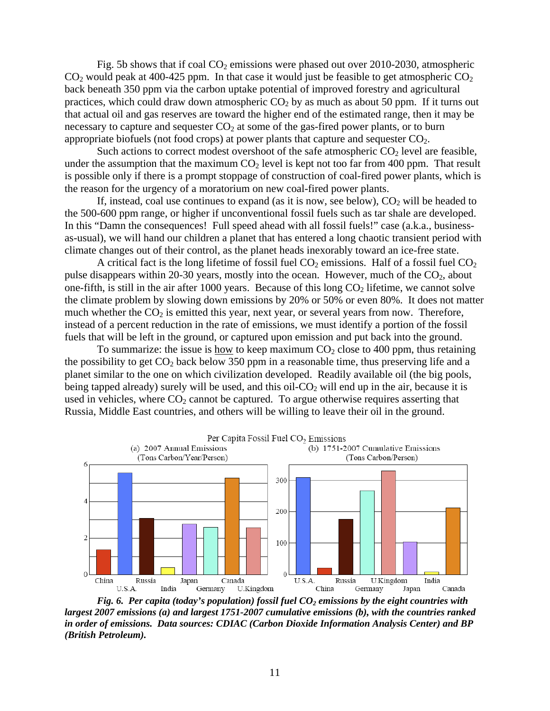Fig. 5b shows that if coal  $CO<sub>2</sub>$  emissions were phased out over 2010-2030, atmospheric  $CO<sub>2</sub>$  would peak at 400-425 ppm. In that case it would just be feasible to get atmospheric  $CO<sub>2</sub>$ back beneath 350 ppm via the carbon uptake potential of improved forestry and agricultural practices, which could draw down atmospheric  $CO<sub>2</sub>$  by as much as about 50 ppm. If it turns out that actual oil and gas reserves are toward the higher end of the estimated range, then it may be necessary to capture and sequester  $CO<sub>2</sub>$  at some of the gas-fired power plants, or to burn appropriate biofuels (not food crops) at power plants that capture and sequester  $CO<sub>2</sub>$ .

Such actions to correct modest overshoot of the safe atmospheric  $CO<sub>2</sub>$  level are feasible, under the assumption that the maximum  $CO<sub>2</sub>$  level is kept not too far from 400 ppm. That result is possible only if there is a prompt stoppage of construction of coal-fired power plants, which is the reason for the urgency of a moratorium on new coal-fired power plants.

If, instead, coal use continues to expand (as it is now, see below),  $CO<sub>2</sub>$  will be headed to the 500-600 ppm range, or higher if unconventional fossil fuels such as tar shale are developed. In this "Damn the consequences! Full speed ahead with all fossil fuels!" case (a.k.a., businessas-usual), we will hand our children a planet that has entered a long chaotic transient period with climate changes out of their control, as the planet heads inexorably toward an ice-free state.

A critical fact is the long lifetime of fossil fuel  $CO<sub>2</sub>$  emissions. Half of a fossil fuel  $CO<sub>2</sub>$ pulse disappears within 20-30 years, mostly into the ocean. However, much of the CO<sub>2</sub>, about one-fifth, is still in the air after 1000 years. Because of this long  $CO<sub>2</sub>$  lifetime, we cannot solve the climate problem by slowing down emissions by 20% or 50% or even 80%. It does not matter much whether the  $CO<sub>2</sub>$  is emitted this year, next year, or several years from now. Therefore, instead of a percent reduction in the rate of emissions, we must identify a portion of the fossil fuels that will be left in the ground, or captured upon emission and put back into the ground.

To summarize: the issue is how to keep maximum  $CO<sub>2</sub>$  close to 400 ppm, thus retaining the possibility to get  $CO<sub>2</sub>$  back below 350 ppm in a reasonable time, thus preserving life and a planet similar to the one on which civilization developed. Readily available oil (the big pools, being tapped already) surely will be used, and this oil- $CO<sub>2</sub>$  will end up in the air, because it is used in vehicles, where  $CO<sub>2</sub>$  cannot be captured. To argue otherwise requires asserting that Russia, Middle East countries, and others will be willing to leave their oil in the ground.



*Fig. 6. Per capita (today's population) fossil fuel CO<sub>2</sub> emissions by the eight countries with largest 2007 emissions (a) and largest 1751-2007 cumulative emissions (b), with the countries ranked in order of emissions. Data sources: CDIAC (Carbon Dioxide Information Analysis Center) and BP (British Petroleum).*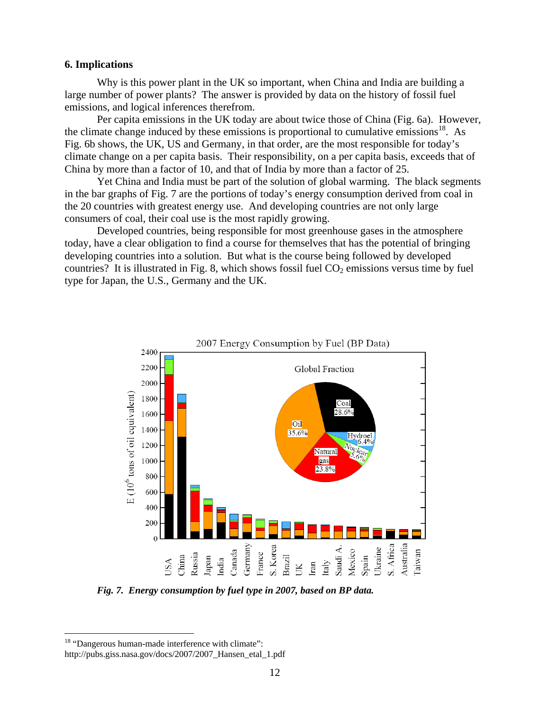### **6. Implications**

 Why is this power plant in the UK so important, when China and India are building a large number of power plants? The answer is provided by data on the history of fossil fuel emissions, and logical inferences therefrom.

 Per capita emissions in the UK today are about twice those of China (Fig. 6a). However, the climate change induced by these emissions is proportional to cumulative emissions<sup>18</sup>. As Fig. 6b shows, the UK, US and Germany, in that order, are the most responsible for today's climate change on a per capita basis. Their responsibility, on a per capita basis, exceeds that of China by more than a factor of 10, and that of India by more than a factor of 25.

 Yet China and India must be part of the solution of global warming. The black segments in the bar graphs of Fig. 7 are the portions of today's energy consumption derived from coal in the 20 countries with greatest energy use. And developing countries are not only large consumers of coal, their coal use is the most rapidly growing.

 Developed countries, being responsible for most greenhouse gases in the atmosphere today, have a clear obligation to find a course for themselves that has the potential of bringing developing countries into a solution. But what is the course being followed by developed countries? It is illustrated in Fig. 8, which shows fossil fuel  $CO<sub>2</sub>$  emissions versus time by fuel type for Japan, the U.S., Germany and the UK.



2007 Energy Consumption by Fuel (BP Data)

*Fig. 7. Energy consumption by fuel type in 2007, based on BP data.* 

<sup>&</sup>lt;sup>18</sup> "Dangerous human-made interference with climate":

http://pubs.giss.nasa.gov/docs/2007/2007\_Hansen\_etal\_1.pdf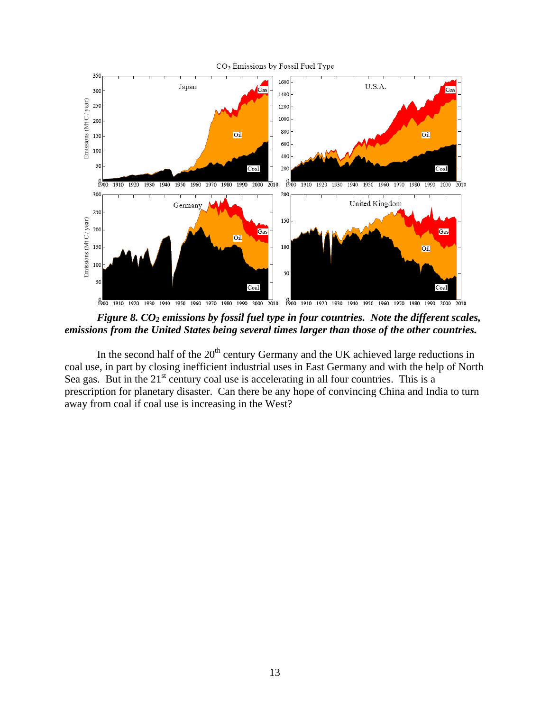

*Figure 8. CO<sub>2</sub> emissions by fossil fuel type in four countries. Note the different scales, emissions from the United States being several times larger than those of the other countries.*

In the second half of the  $20<sup>th</sup>$  century Germany and the UK achieved large reductions in coal use, in part by closing inefficient industrial uses in East Germany and with the help of North Sea gas. But in the  $21<sup>st</sup>$  century coal use is accelerating in all four countries. This is a prescription for planetary disaster. Can there be any hope of convincing China and India to turn away from coal if coal use is increasing in the West?